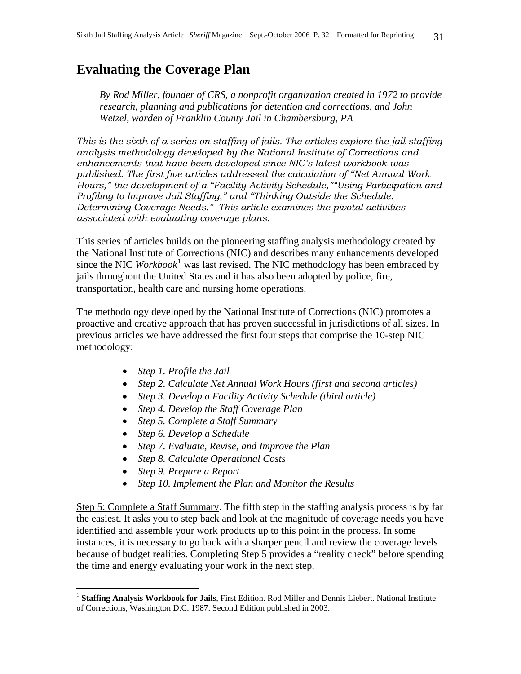# **Evaluating the Coverage Plan**

*By Rod Miller, founder of CRS, a nonprofit organization created in 1972 to provide research, planning and publications for detention and corrections, and John Wetzel, warden of Franklin County Jail in Chambersburg, PA* 

*This is the sixth of a series on staffing of jails. The articles explore the jail staffing analysis methodology developed by the National Institute of Corrections and enhancements that have been developed since NIC's latest workbook was published. The first five articles addressed the calculation of "Net Annual Work Hours," the development of a "Facility Activity Schedule,""Using Participation and Profiling to Improve Jail Staffing," and "Thinking Outside the Schedule: Determining Coverage Needs." This article examines the pivotal activities associated with evaluating coverage plans.* 

This series of articles builds on the pioneering staffing analysis methodology created by the National Institute of Corrections (NIC) and describes many enhancements developed since the NIC *Workbook*<sup>[1](#page-0-0)</sup> was last revised. The NIC methodology has been embraced by jails throughout the United States and it has also been adopted by police, fire, transportation, health care and nursing home operations.

The methodology developed by the National Institute of Corrections (NIC) promotes a proactive and creative approach that has proven successful in jurisdictions of all sizes. In previous articles we have addressed the first four steps that comprise the 10-step NIC methodology:

- *Step 1. Profile the Jail*
- *Step 2. Calculate Net Annual Work Hours (first and second articles)*
- *Step 3. Develop a Facility Activity Schedule (third article)*
- *Step 4. Develop the Staff Coverage Plan*
- *Step 5. Complete a Staff Summary*
- *Step 6. Develop a Schedule*
- *Step 7. Evaluate, Revise, and Improve the Plan*
- *Step 8. Calculate Operational Costs*
- *Step 9. Prepare a Report*

 $\overline{a}$ 

• *Step 10. Implement the Plan and Monitor the Results* 

Step 5: Complete a Staff Summary. The fifth step in the staffing analysis process is by far the easiest. It asks you to step back and look at the magnitude of coverage needs you have identified and assemble your work products up to this point in the process. In some instances, it is necessary to go back with a sharper pencil and review the coverage levels because of budget realities. Completing Step 5 provides a "reality check" before spending the time and energy evaluating your work in the next step.

<span id="page-0-0"></span><sup>&</sup>lt;sup>1</sup> Staffing Analysis Workbook for Jails, First Edition. Rod Miller and Dennis Liebert. National Institute of Corrections, Washington D.C. 1987. Second Edition published in 2003.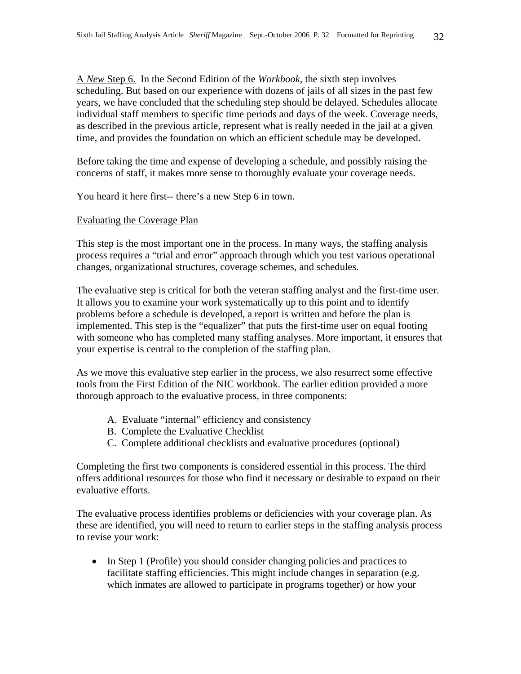A *New* Step 6. In the Second Edition of the *Workbook*, the sixth step involves scheduling. But based on our experience with dozens of jails of all sizes in the past few years, we have concluded that the scheduling step should be delayed. Schedules allocate individual staff members to specific time periods and days of the week. Coverage needs, as described in the previous article, represent what is really needed in the jail at a given time, and provides the foundation on which an efficient schedule may be developed.

Before taking the time and expense of developing a schedule, and possibly raising the concerns of staff, it makes more sense to thoroughly evaluate your coverage needs.

You heard it here first-- there's a new Step 6 in town.

#### Evaluating the Coverage Plan

This step is the most important one in the process. In many ways, the staffing analysis process requires a "trial and error" approach through which you test various operational changes, organizational structures, coverage schemes, and schedules.

The evaluative step is critical for both the veteran staffing analyst and the first-time user. It allows you to examine your work systematically up to this point and to identify problems before a schedule is developed, a report is written and before the plan is implemented. This step is the "equalizer" that puts the first-time user on equal footing with someone who has completed many staffing analyses. More important, it ensures that your expertise is central to the completion of the staffing plan.

As we move this evaluative step earlier in the process, we also resurrect some effective tools from the First Edition of the NIC workbook. The earlier edition provided a more thorough approach to the evaluative process, in three components:

- A. Evaluate "internal" efficiency and consistency
- B. Complete the Evaluative Checklist
- C. Complete additional checklists and evaluative procedures (optional)

Completing the first two components is considered essential in this process. The third offers additional resources for those who find it necessary or desirable to expand on their evaluative efforts.

The evaluative process identifies problems or deficiencies with your coverage plan. As these are identified, you will need to return to earlier steps in the staffing analysis process to revise your work:

• In Step 1 (Profile) you should consider changing policies and practices to facilitate staffing efficiencies. This might include changes in separation (e.g. which inmates are allowed to participate in programs together) or how your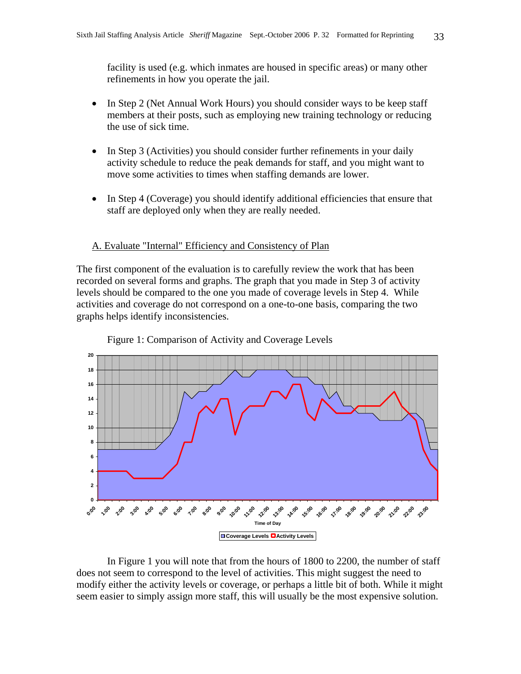facility is used (e.g. which inmates are housed in specific areas) or many other refinements in how you operate the jail.

- In Step 2 (Net Annual Work Hours) you should consider ways to be keep staff members at their posts, such as employing new training technology or reducing the use of sick time.
- In Step 3 (Activities) you should consider further refinements in your daily activity schedule to reduce the peak demands for staff, and you might want to move some activities to times when staffing demands are lower.
- In Step 4 (Coverage) you should identify additional efficiencies that ensure that staff are deployed only when they are really needed.

#### A. Evaluate "Internal" Efficiency and Consistency of Plan

The first component of the evaluation is to carefully review the work that has been recorded on several forms and graphs. The graph that you made in Step 3 of activity levels should be compared to the one you made of coverage levels in Step 4. While activities and coverage do not correspond on a one-to-one basis, comparing the two graphs helps identify inconsistencies.



Figure 1: Comparison of Activity and Coverage Levels

 In Figure 1 you will note that from the hours of 1800 to 2200, the number of staff does not seem to correspond to the level of activities. This might suggest the need to modify either the activity levels or coverage, or perhaps a little bit of both. While it might seem easier to simply assign more staff, this will usually be the most expensive solution.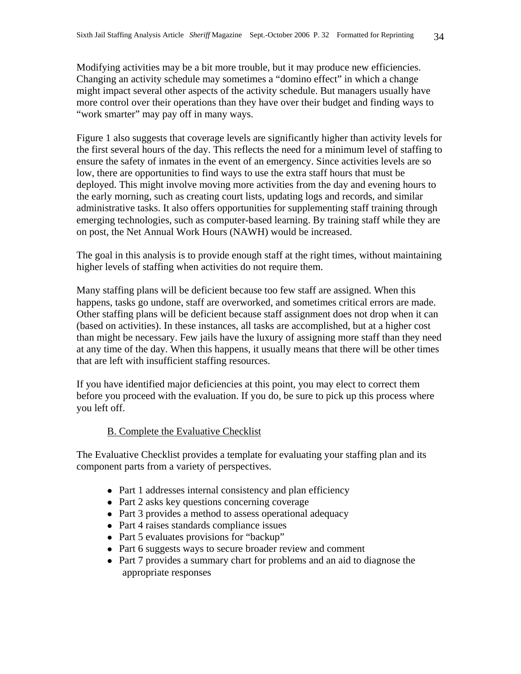Modifying activities may be a bit more trouble, but it may produce new efficiencies. Changing an activity schedule may sometimes a "domino effect" in which a change might impact several other aspects of the activity schedule. But managers usually have more control over their operations than they have over their budget and finding ways to "work smarter" may pay off in many ways.

Figure 1 also suggests that coverage levels are significantly higher than activity levels for the first several hours of the day. This reflects the need for a minimum level of staffing to ensure the safety of inmates in the event of an emergency. Since activities levels are so low, there are opportunities to find ways to use the extra staff hours that must be deployed. This might involve moving more activities from the day and evening hours to the early morning, such as creating court lists, updating logs and records, and similar administrative tasks. It also offers opportunities for supplementing staff training through emerging technologies, such as computer-based learning. By training staff while they are on post, the Net Annual Work Hours (NAWH) would be increased.

The goal in this analysis is to provide enough staff at the right times, without maintaining higher levels of staffing when activities do not require them.

Many staffing plans will be deficient because too few staff are assigned. When this happens, tasks go undone, staff are overworked, and sometimes critical errors are made. Other staffing plans will be deficient because staff assignment does not drop when it can (based on activities). In these instances, all tasks are accomplished, but at a higher cost than might be necessary. Few jails have the luxury of assigning more staff than they need at any time of the day. When this happens, it usually means that there will be other times that are left with insufficient staffing resources.

If you have identified major deficiencies at this point, you may elect to correct them before you proceed with the evaluation. If you do, be sure to pick up this process where you left off.

## B. Complete the Evaluative Checklist

The Evaluative Checklist provides a template for evaluating your staffing plan and its component parts from a variety of perspectives.

- Part 1 addresses internal consistency and plan efficiency
- $\bullet$  Part 2 asks key questions concerning coverage
- $\bullet$  Part 3 provides a method to assess operational adequacy
- $\bullet$  Part 4 raises standards compliance issues
- Part 5 evaluates provisions for "backup"
- $\bullet$  Part 6 suggests ways to secure broader review and comment
- $\bullet$  Part 7 provides a summary chart for problems and an aid to diagnose the appropriate responses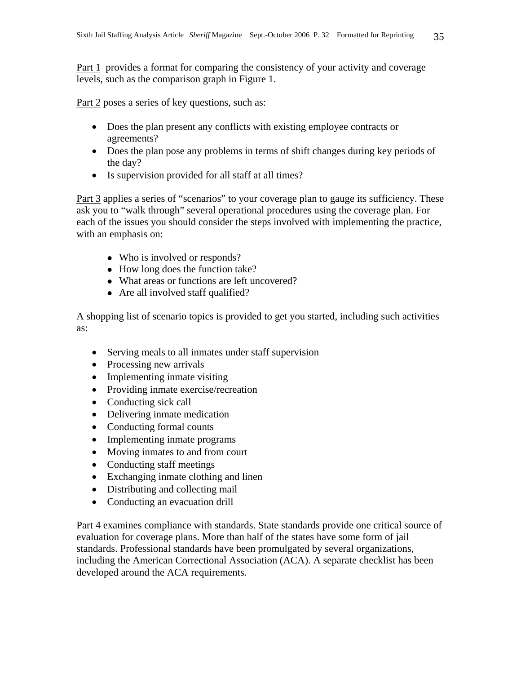Part 1 provides a format for comparing the consistency of your activity and coverage levels, such as the comparison graph in Figure 1.

Part 2 poses a series of key questions, such as:

- Does the plan present any conflicts with existing employee contracts or agreements?
- Does the plan pose any problems in terms of shift changes during key periods of the day?
- Is supervision provided for all staff at all times?

Part 3 applies a series of "scenarios" to your coverage plan to gauge its sufficiency. These ask you to "walk through" several operational procedures using the coverage plan. For each of the issues you should consider the steps involved with implementing the practice, with an emphasis on:

- Who is involved or responds?
- $\bullet$  How long does the function take?
- What areas or functions are left uncovered?
- $\bullet$  Are all involved staff qualified?

A shopping list of scenario topics is provided to get you started, including such activities as:

- Serving meals to all inmates under staff supervision
- Processing new arrivals
- Implementing inmate visiting
- Providing inmate exercise/recreation
- Conducting sick call
- Delivering inmate medication
- Conducting formal counts
- Implementing inmate programs
- Moving inmates to and from court
- Conducting staff meetings
- Exchanging inmate clothing and linen
- Distributing and collecting mail
- Conducting an evacuation drill

Part 4 examines compliance with standards. State standards provide one critical source of evaluation for coverage plans. More than half of the states have some form of jail standards. Professional standards have been promulgated by several organizations, including the American Correctional Association (ACA). A separate checklist has been developed around the ACA requirements.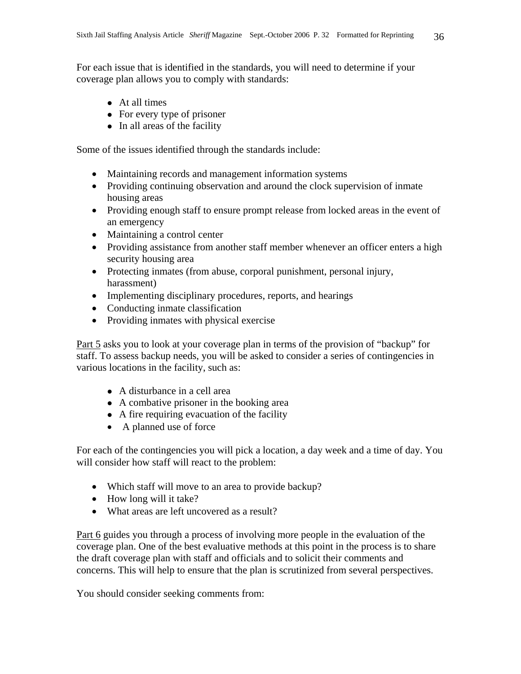For each issue that is identified in the standards, you will need to determine if your coverage plan allows you to comply with standards:

- At all times
- $\bullet$  For every type of prisoner
- $\bullet$  In all areas of the facility

Some of the issues identified through the standards include:

- Maintaining records and management information systems
- Providing continuing observation and around the clock supervision of inmate housing areas
- Providing enough staff to ensure prompt release from locked areas in the event of an emergency
- Maintaining a control center
- Providing assistance from another staff member whenever an officer enters a high security housing area
- Protecting inmates (from abuse, corporal punishment, personal injury, harassment)
- Implementing disciplinary procedures, reports, and hearings
- Conducting inmate classification
- Providing inmates with physical exercise

Part 5 asks you to look at your coverage plan in terms of the provision of "backup" for staff. To assess backup needs, you will be asked to consider a series of contingencies in various locations in the facility, such as:

- $\bullet$  A disturbance in a cell area
- $\bullet$  A combative prisoner in the booking area
- A fire requiring evacuation of the facility
- A planned use of force

For each of the contingencies you will pick a location, a day week and a time of day. You will consider how staff will react to the problem:

- Which staff will move to an area to provide backup?
- How long will it take?
- What areas are left uncovered as a result?

Part 6 guides you through a process of involving more people in the evaluation of the coverage plan. One of the best evaluative methods at this point in the process is to share the draft coverage plan with staff and officials and to solicit their comments and concerns. This will help to ensure that the plan is scrutinized from several perspectives.

You should consider seeking comments from: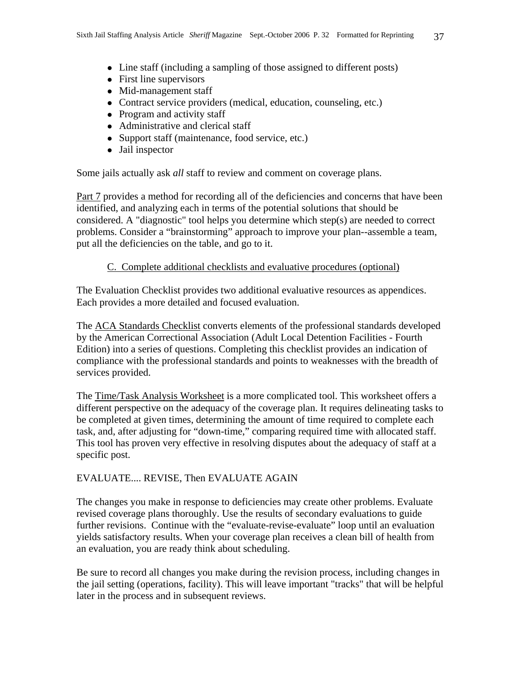- Line staff (including a sampling of those assigned to different posts)
- $\bullet$  First line supervisors
- $\bullet$  Mid-management staff
- Contract service providers (medical, education, counseling, etc.)
- $\bullet$  Program and activity staff
- $\bullet$  Administrative and clerical staff
- Support staff (maintenance, food service, etc.)
- Jail inspector

Some jails actually ask *all* staff to review and comment on coverage plans.

Part 7 provides a method for recording all of the deficiencies and concerns that have been identified, and analyzing each in terms of the potential solutions that should be considered. A "diagnostic" tool helps you determine which step(s) are needed to correct problems. Consider a "brainstorming" approach to improve your plan--assemble a team, put all the deficiencies on the table, and go to it.

## C. Complete additional checklists and evaluative procedures (optional)

The Evaluation Checklist provides two additional evaluative resources as appendices. Each provides a more detailed and focused evaluation.

The ACA Standards Checklist converts elements of the professional standards developed by the American Correctional Association (Adult Local Detention Facilities - Fourth Edition) into a series of questions. Completing this checklist provides an indication of compliance with the professional standards and points to weaknesses with the breadth of services provided.

The Time/Task Analysis Worksheet is a more complicated tool. This worksheet offers a different perspective on the adequacy of the coverage plan. It requires delineating tasks to be completed at given times, determining the amount of time required to complete each task, and, after adjusting for "down-time," comparing required time with allocated staff. This tool has proven very effective in resolving disputes about the adequacy of staff at a specific post.

## EVALUATE.... REVISE, Then EVALUATE AGAIN

The changes you make in response to deficiencies may create other problems. Evaluate revised coverage plans thoroughly. Use the results of secondary evaluations to guide further revisions. Continue with the "evaluate-revise-evaluate" loop until an evaluation yields satisfactory results. When your coverage plan receives a clean bill of health from an evaluation, you are ready think about scheduling.

Be sure to record all changes you make during the revision process, including changes in the jail setting (operations, facility). This will leave important "tracks" that will be helpful later in the process and in subsequent reviews.